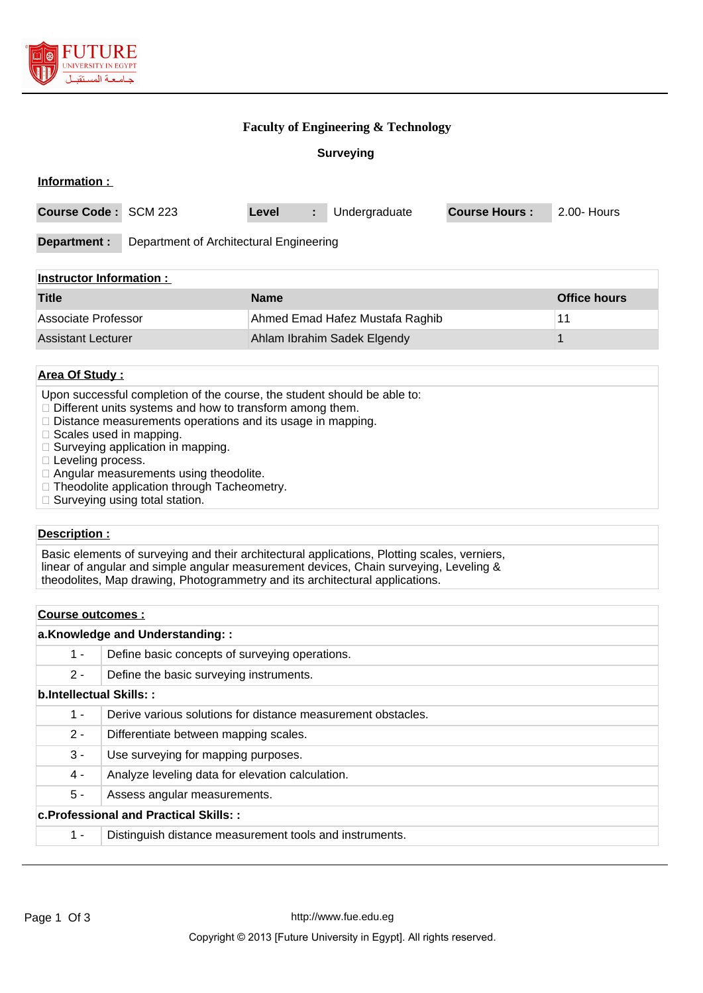

### **Faculty of Engineering & Technology**

**Surveying**

### **Information :**

| Course Code: SCM 223                                    |  | Level | ÷. | Undergraduate | <b>Course Hours:</b> | 2.00- Hours |
|---------------------------------------------------------|--|-------|----|---------------|----------------------|-------------|
| Department of Architectural Engineering<br>Department : |  |       |    |               |                      |             |
| Instructor Information .                                |  |       |    |               |                      |             |

| <b>Title</b>        | <b>Name</b>                     | Office hours |
|---------------------|---------------------------------|--------------|
| Associate Professor | Ahmed Emad Hafez Mustafa Raghib |              |
| Assistant Lecturer  | Ahlam Ibrahim Sadek Elgendy     |              |

### **Area Of Study :**

- Upon successful completion of the course, the student should be able to:
- $\Box$  Different units systems and how to transform among them.
- $\square$  Distance measurements operations and its usage in mapping.
- $\Box$  Scales used in mapping.
- $\square$  Surveying application in mapping.
- □ Leveling process.
- $\Box$  Angular measurements using theodolite.
- $\Box$  Theodolite application through Tacheometry.
- $\Box$  Surveying using total station.

### **Description :**

Basic elements of surveying and their architectural applications, Plotting scales, verniers, linear of angular and simple angular measurement devices, Chain surveying, Leveling & theodolites, Map drawing, Photogrammetry and its architectural applications.

# **Course outcomes : a.Knowledge and Understanding: :** 1 - Define basic concepts of surveying operations. 2 - Define the basic surveying instruments. **b.Intellectual Skills: :** 1 - Derive various solutions for distance measurement obstacles. 2 - Differentiate between mapping scales. 3 - Use surveying for mapping purposes. 4 - Analyze leveling data for elevation calculation. 5 - Assess angular measurements. **c.Professional and Practical Skills: :**

1 - Distinguish distance measurement tools and instruments.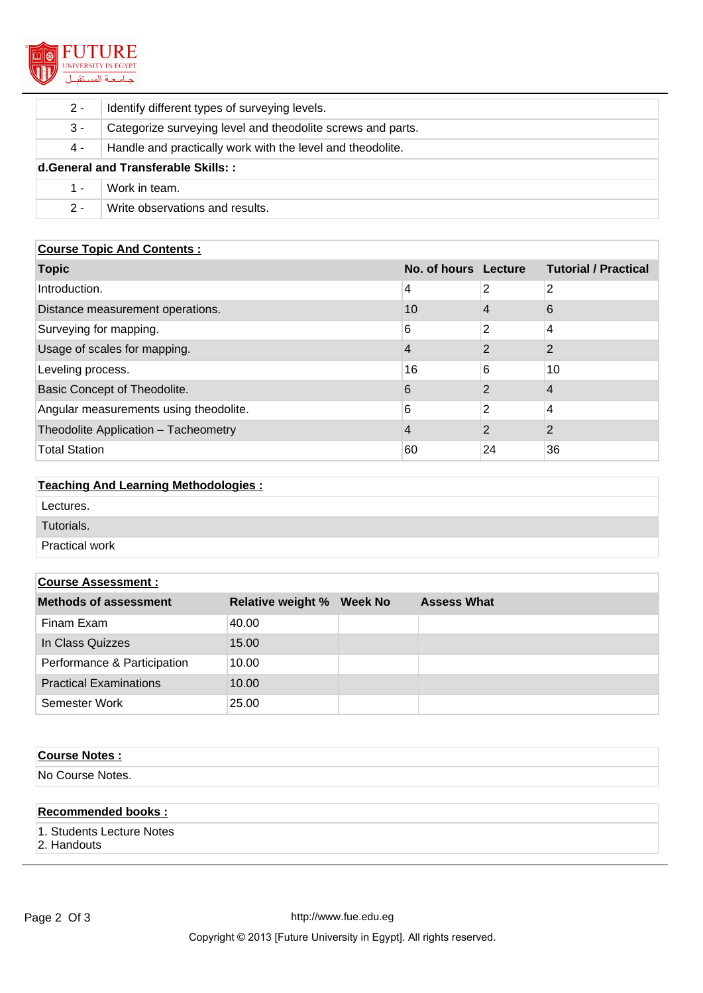

| $2 -$                                | Identify different types of surveying levels.               |  |
|--------------------------------------|-------------------------------------------------------------|--|
| 3 -                                  | Categorize surveying level and theodolite screws and parts. |  |
| 4 -                                  | Handle and practically work with the level and theodolite.  |  |
| d. General and Transferable Skills:: |                                                             |  |
| 1 -                                  | Work in team.                                               |  |
| $2 -$                                | Write observations and results.                             |  |

### **Course Topic And Contents :**

| <b>Topic</b>                           | No. of hours Lecture |                | <b>Tutorial / Practical</b> |
|----------------------------------------|----------------------|----------------|-----------------------------|
| Introduction.                          | 4                    | 2              | 2                           |
| Distance measurement operations.       | 10                   | 4              | 6                           |
| Surveying for mapping.                 | 6                    | 2              | 4                           |
| Usage of scales for mapping.           | 4                    | 2              | $\mathcal{P}$               |
| Leveling process.                      | 16                   | 6              | 10                          |
| Basic Concept of Theodolite.           | 6                    | 2              | 4                           |
| Angular measurements using theodolite. | 6                    | 2              | 4                           |
| Theodolite Application - Tacheometry   | 4                    | $\overline{2}$ | $\mathcal{P}$               |
| <b>Total Station</b>                   | 60                   | 24             | 36                          |

# **Teaching And Learning Methodologies :**

| Lectures.             |  |
|-----------------------|--|
| Tutorials.            |  |
| <b>Practical work</b> |  |

## **Course Assessment :**

| <b>Methods of assessment</b>  | <b>Relative weight %</b> | <b>Week No</b> | <b>Assess What</b> |
|-------------------------------|--------------------------|----------------|--------------------|
| Finam Exam                    | 40.00                    |                |                    |
| In Class Quizzes              | 15.00                    |                |                    |
| Performance & Participation   | 10.00                    |                |                    |
| <b>Practical Examinations</b> | 10.00                    |                |                    |
| Semester Work                 | 25.00                    |                |                    |

# **Course Notes :**

No Course Notes.

### **Recommended books :**

1. Students Lecture Notes

2. Handouts